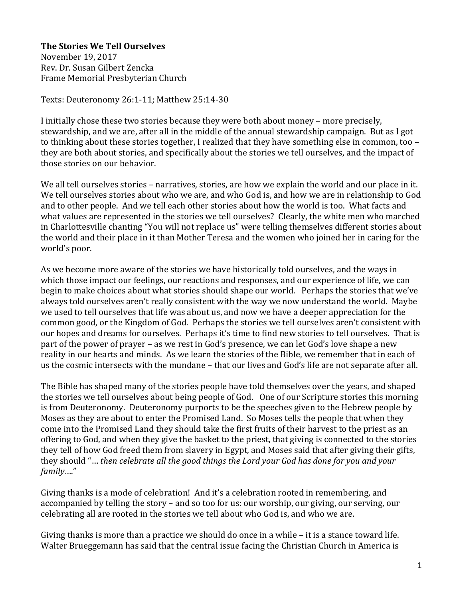**The Stories We Tell Ourselves**

November 19, 2017 Rev. Dr. Susan Gilbert Zencka Frame Memorial Presbyterian Church

Texts: Deuteronomy 26:1-11; Matthew 25:14-30

I initially chose these two stories because they were both about money – more precisely, stewardship, and we are, after all in the middle of the annual stewardship campaign. But as I got to thinking about these stories together, I realized that they have something else in common, too – they are both about stories, and specifically about the stories we tell ourselves, and the impact of those stories on our behavior.

We all tell ourselves stories – narratives, stories, are how we explain the world and our place in it. We tell ourselves stories about who we are, and who God is, and how we are in relationship to God and to other people. And we tell each other stories about how the world is too. What facts and what values are represented in the stories we tell ourselves? Clearly, the white men who marched in Charlottesville chanting "You will not replace us" were telling themselves different stories about the world and their place in it than Mother Teresa and the women who joined her in caring for the world's poor.

As we become more aware of the stories we have historically told ourselves, and the ways in which those impact our feelings, our reactions and responses, and our experience of life, we can begin to make choices about what stories should shape our world. Perhaps the stories that we've always told ourselves aren't really consistent with the way we now understand the world. Maybe we used to tell ourselves that life was about us, and now we have a deeper appreciation for the common good, or the Kingdom of God. Perhaps the stories we tell ourselves aren't consistent with our hopes and dreams for ourselves. Perhaps it's time to find new stories to tell ourselves. That is part of the power of prayer – as we rest in God's presence, we can let God's love shape a new reality in our hearts and minds. As we learn the stories of the Bible, we remember that in each of us the cosmic intersects with the mundane – that our lives and God's life are not separate after all.

The Bible has shaped many of the stories people have told themselves over the years, and shaped the stories we tell ourselves about being people of God. One of our Scripture stories this morning is from Deuteronomy. Deuteronomy purports to be the speeches given to the Hebrew people by Moses as they are about to enter the Promised Land. So Moses tells the people that when they come into the Promised Land they should take the first fruits of their harvest to the priest as an offering to God, and when they give the basket to the priest, that giving is connected to the stories they tell of how God freed them from slavery in Egypt, and Moses said that after giving their gifts, they should "… *then celebrate all the good things the Lord your God has done for you and your family*…."

Giving thanks is a mode of celebration! And it's a celebration rooted in remembering, and accompanied by telling the story – and so too for us: our worship, our giving, our serving, our celebrating all are rooted in the stories we tell about who God is, and who we are.

Giving thanks is more than a practice we should do once in a while – it is a stance toward life. Walter Brueggemann has said that the central issue facing the Christian Church in America is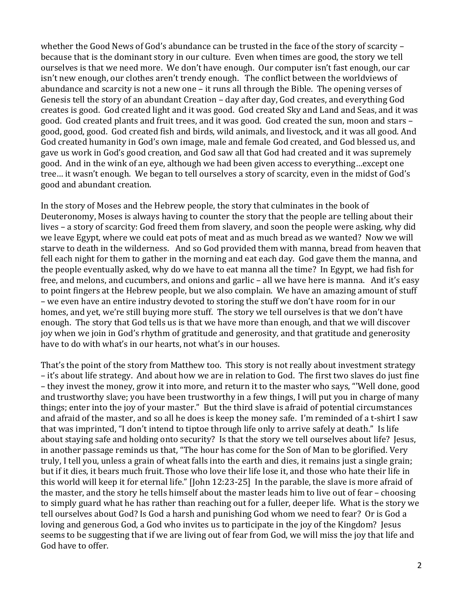whether the Good News of God's abundance can be trusted in the face of the story of scarcity – because that is the dominant story in our culture. Even when times are good, the story we tell ourselves is that we need more. We don't have enough. Our computer isn't fast enough, our car isn't new enough, our clothes aren't trendy enough. The conflict between the worldviews of abundance and scarcity is not a new one – it runs all through the Bible. The opening verses of Genesis tell the story of an abundant Creation – day after day, God creates, and everything God creates is good. God created light and it was good. God created Sky and Land and Seas, and it was good. God created plants and fruit trees, and it was good. God created the sun, moon and stars – good, good, good. God created fish and birds, wild animals, and livestock, and it was all good. And God created humanity in God's own image, male and female God created, and God blessed us, and gave us work in God's good creation, and God saw all that God had created and it was supremely good. And in the wink of an eye, although we had been given access to everything…except one tree… it wasn't enough. We began to tell ourselves a story of scarcity, even in the midst of God's good and abundant creation.

In the story of Moses and the Hebrew people, the story that culminates in the book of Deuteronomy, Moses is always having to counter the story that the people are telling about their lives – a story of scarcity: God freed them from slavery, and soon the people were asking, why did we leave Egypt, where we could eat pots of meat and as much bread as we wanted? Now we will starve to death in the wilderness. And so God provided them with manna, bread from heaven that fell each night for them to gather in the morning and eat each day. God gave them the manna, and the people eventually asked, why do we have to eat manna all the time? In Egypt, we had fish for free, and melons, and cucumbers, and onions and garlic – all we have here is manna. And it's easy to point fingers at the Hebrew people, but we also complain. We have an amazing amount of stuff – we even have an entire industry devoted to storing the stuff we don't have room for in our homes, and yet, we're still buying more stuff. The story we tell ourselves is that we don't have enough. The story that God tells us is that we have more than enough, and that we will discover joy when we join in God's rhythm of gratitude and generosity, and that gratitude and generosity have to do with what's in our hearts, not what's in our houses.

That's the point of the story from Matthew too. This story is not really about investment strategy – it's about life strategy. And about how we are in relation to God. The first two slaves do just fine – they invest the money, grow it into more, and return it to the master who says, "'Well done, good and trustworthy slave; you have been trustworthy in a few things, I will put you in charge of many things; enter into the joy of your master." But the third slave is afraid of potential circumstances and afraid of the master, and so all he does is keep the money safe. I'm reminded of a t-shirt I saw that was imprinted, "I don't intend to tiptoe through life only to arrive safely at death." Is life about staying safe and holding onto security? Is that the story we tell ourselves about life? Jesus, in another passage reminds us that, "The hour has come for the Son of Man to be glorified. Very truly, I tell you, unless a grain of wheat falls into the earth and dies, it remains just a single grain; but if it dies, it bears much fruit. Those who love their life lose it, and those who hate their life in this world will keep it for eternal life." [John 12:23-25] In the parable, the slave is more afraid of the master, and the story he tells himself about the master leads him to live out of fear – choosing to simply guard what he has rather than reaching out for a fuller, deeper life. What is the story we tell ourselves about God? Is God a harsh and punishing God whom we need to fear? Or is God a loving and generous God, a God who invites us to participate in the joy of the Kingdom? Jesus seems to be suggesting that if we are living out of fear from God, we will miss the joy that life and God have to offer.